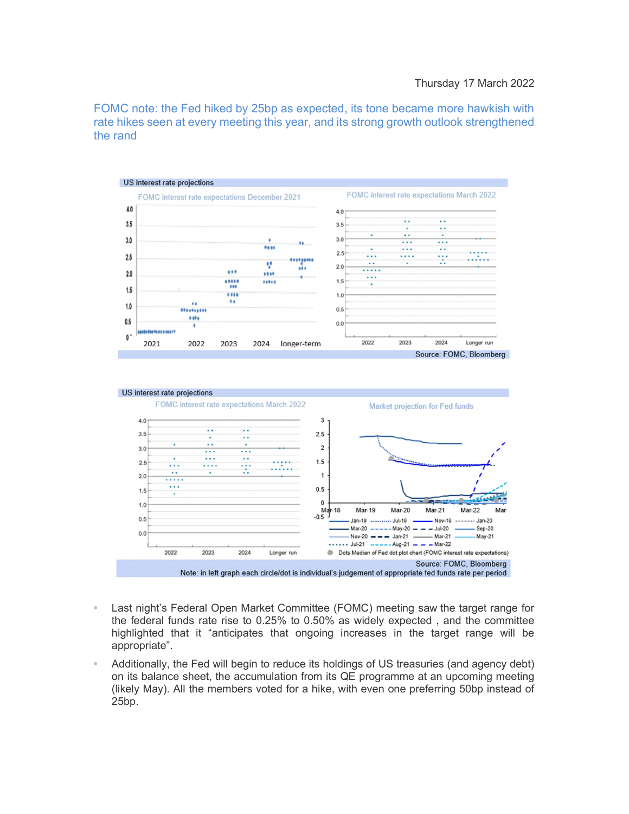FOMC note: the Fed hiked by 25bp as expected, its tone became more hawkish with rate hikes seen at every meeting this year, and its strong growth outlook strengthened the rand





- Last night's Federal Open Market Committee (FOMC) meeting saw the target range for the federal funds rate rise to 0.25% to 0.50% as widely expected , and the committee highlighted that it "anticipates that ongoing increases in the target range will be appropriate".
- Additionally, the Fed will begin to reduce its holdings of US treasuries (and agency debt) on its balance sheet, the accumulation from its QE programme at an upcoming meeting (likely May). All the members voted for a hike, with even one preferring 50bp instead of 25bp.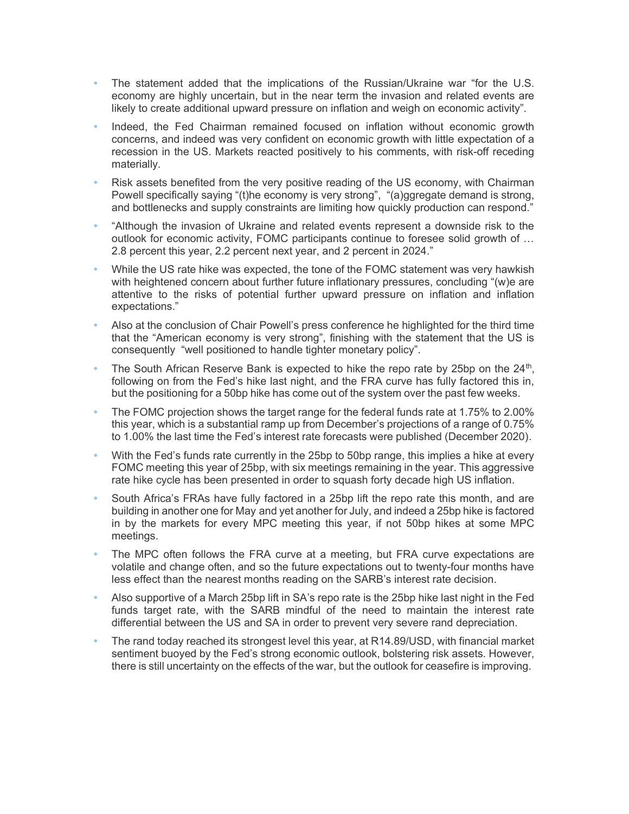- The statement added that the implications of the Russian/Ukraine war "for the U.S. economy are highly uncertain, but in the near term the invasion and related events are likely to create additional upward pressure on inflation and weigh on economic activity".
- Indeed, the Fed Chairman remained focused on inflation without economic growth concerns, and indeed was very confident on economic growth with little expectation of a recession in the US. Markets reacted positively to his comments, with risk-off receding materially.
- Risk assets benefited from the very positive reading of the US economy, with Chairman Powell specifically saying "(t)he economy is very strong", "(a)ggregate demand is strong, and bottlenecks and supply constraints are limiting how quickly production can respond."
- "Although the invasion of Ukraine and related events represent a downside risk to the outlook for economic activity, FOMC participants continue to foresee solid growth of … 2.8 percent this year, 2.2 percent next year, and 2 percent in 2024."
- While the US rate hike was expected, the tone of the FOMC statement was very hawkish with heightened concern about further future inflationary pressures, concluding "(w)e are attentive to the risks of potential further upward pressure on inflation and inflation expectations."
- Also at the conclusion of Chair Powell's press conference he highlighted for the third time that the "American economy is very strong", finishing with the statement that the US is consequently "well positioned to handle tighter monetary policy".
- The South African Reserve Bank is expected to hike the repo rate by 25bp on the  $24<sup>th</sup>$ , following on from the Fed's hike last night, and the FRA curve has fully factored this in, but the positioning for a 50bp hike has come out of the system over the past few weeks.
- The FOMC projection shows the target range for the federal funds rate at 1.75% to 2.00% this year, which is a substantial ramp up from December's projections of a range of 0.75% to 1.00% the last time the Fed's interest rate forecasts were published (December 2020).
- With the Fed's funds rate currently in the 25bp to 50bp range, this implies a hike at every FOMC meeting this year of 25bp, with six meetings remaining in the year. This aggressive rate hike cycle has been presented in order to squash forty decade high US inflation.
- South Africa's FRAs have fully factored in a 25bp lift the repo rate this month, and are building in another one for May and yet another for July, and indeed a 25bp hike is factored in by the markets for every MPC meeting this year, if not 50bp hikes at some MPC meetings.
- The MPC often follows the FRA curve at a meeting, but FRA curve expectations are volatile and change often, and so the future expectations out to twenty-four months have less effect than the nearest months reading on the SARB's interest rate decision.
- Also supportive of a March 25bp lift in SA's repo rate is the 25bp hike last night in the Fed funds target rate, with the SARB mindful of the need to maintain the interest rate differential between the US and SA in order to prevent very severe rand depreciation.
- The rand today reached its strongest level this year, at R14.89/USD, with financial market sentiment buoyed by the Fed's strong economic outlook, bolstering risk assets. However, there is still uncertainty on the effects of the war, but the outlook for ceasefire is improving.